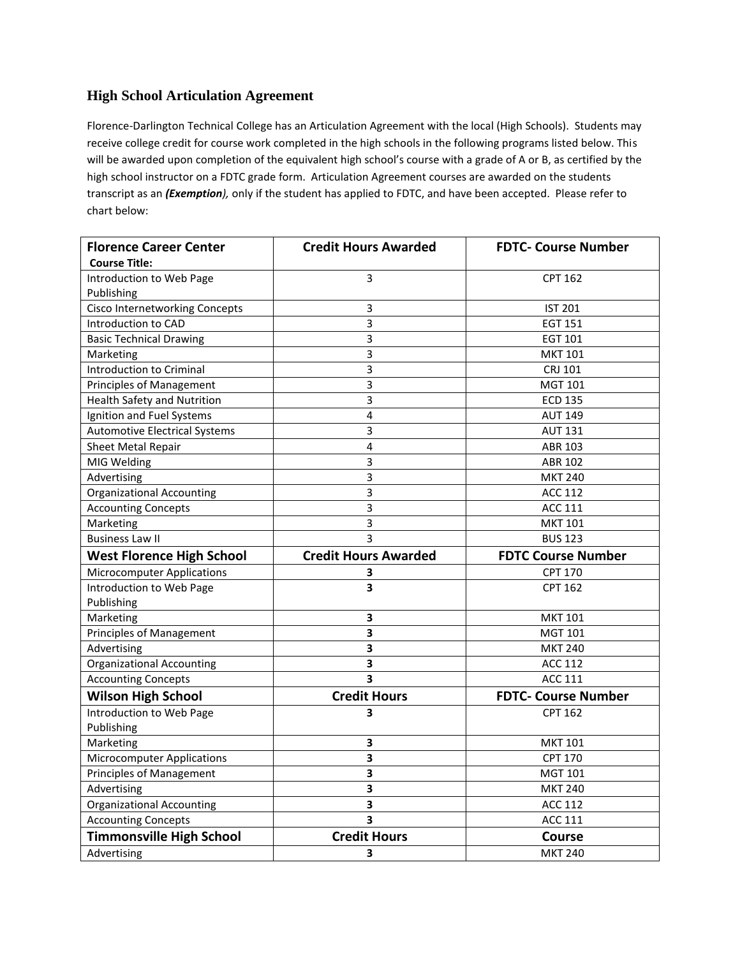## **High School Articulation Agreement**

Florence-Darlington Technical College has an Articulation Agreement with the local (High Schools). Students may receive college credit for course work completed in the high schools in the following programs listed below. This will be awarded upon completion of the equivalent high school's course with a grade of A or B, as certified by the high school instructor on a FDTC grade form. Articulation Agreement courses are awarded on the students transcript as an *(Exemption),* only if the student has applied to FDTC, and have been accepted. Please refer to chart below:

| <b>Florence Career Center</b>         | <b>Credit Hours Awarded</b> | <b>FDTC- Course Number</b> |
|---------------------------------------|-----------------------------|----------------------------|
| <b>Course Title:</b>                  |                             |                            |
| Introduction to Web Page              | 3                           | <b>CPT 162</b>             |
| Publishing                            |                             |                            |
| <b>Cisco Internetworking Concepts</b> | 3                           | <b>IST 201</b>             |
| Introduction to CAD                   | 3                           | EGT 151                    |
| <b>Basic Technical Drawing</b>        | 3                           | EGT 101                    |
| Marketing                             | 3                           | <b>MKT 101</b>             |
| Introduction to Criminal              | 3                           | CRJ 101                    |
| <b>Principles of Management</b>       | 3                           | <b>MGT 101</b>             |
| <b>Health Safety and Nutrition</b>    | $\overline{3}$              | <b>ECD 135</b>             |
| Ignition and Fuel Systems             | 4                           | <b>AUT 149</b>             |
| <b>Automotive Electrical Systems</b>  | 3                           | <b>AUT 131</b>             |
| Sheet Metal Repair                    | 4                           | ABR 103                    |
| MIG Welding                           | 3                           | <b>ABR 102</b>             |
| Advertising                           | 3                           | <b>MKT 240</b>             |
| <b>Organizational Accounting</b>      | 3                           | <b>ACC 112</b>             |
| <b>Accounting Concepts</b>            | 3                           | <b>ACC 111</b>             |
| Marketing                             | 3                           | <b>MKT 101</b>             |
| <b>Business Law II</b>                | 3                           | <b>BUS 123</b>             |
| <b>West Florence High School</b>      | <b>Credit Hours Awarded</b> | <b>FDTC Course Number</b>  |
| <b>Microcomputer Applications</b>     | 3                           | <b>CPT 170</b>             |
| Introduction to Web Page              | 3                           | <b>CPT 162</b>             |
|                                       |                             |                            |
| Publishing                            |                             |                            |
| Marketing                             | 3                           | <b>MKT 101</b>             |
| <b>Principles of Management</b>       | 3                           | <b>MGT 101</b>             |
| Advertising                           | 3                           | <b>MKT 240</b>             |
| <b>Organizational Accounting</b>      | 3                           | <b>ACC 112</b>             |
| <b>Accounting Concepts</b>            | 3                           | <b>ACC 111</b>             |
| <b>Wilson High School</b>             | <b>Credit Hours</b>         | <b>FDTC- Course Number</b> |
| Introduction to Web Page              | 3                           | <b>CPT 162</b>             |
| Publishing                            |                             |                            |
| Marketing                             | 3                           | <b>MKT 101</b>             |
| <b>Microcomputer Applications</b>     | 3                           | <b>CPT 170</b>             |
| Principles of Management              | 3                           | <b>MGT 101</b>             |
| Advertising                           | 3                           | <b>MKT 240</b>             |
| <b>Organizational Accounting</b>      | 3                           | <b>ACC 112</b>             |
| <b>Accounting Concepts</b>            | 3                           | <b>ACC 111</b>             |
| <b>Timmonsville High School</b>       | <b>Credit Hours</b>         | Course                     |